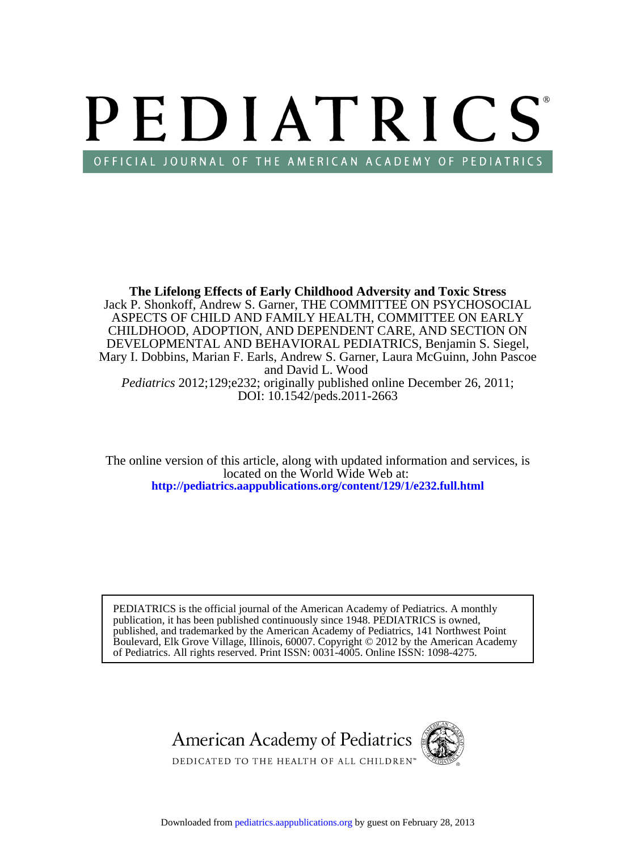# PEDIATRICS OFFICIAL JOURNAL OF THE AMERICAN ACADEMY OF PEDIATRICS

DOI: 10.1542/peds.2011-2663 *Pediatrics* 2012;129;e232; originally published online December 26, 2011; and David L. Wood Mary I. Dobbins, Marian F. Earls, Andrew S. Garner, Laura McGuinn, John Pascoe DEVELOPMENTAL AND BEHAVIORAL PEDIATRICS, Benjamin S. Siegel, CHILDHOOD, ADOPTION, AND DEPENDENT CARE, AND SECTION ON ASPECTS OF CHILD AND FAMILY HEALTH, COMMITTEE ON EARLY Jack P. Shonkoff, Andrew S. Garner, THE COMMITTEE ON PSYCHOSOCIAL **The Lifelong Effects of Early Childhood Adversity and Toxic Stress**

**<http://pediatrics.aappublications.org/content/129/1/e232.full.html>** located on the World Wide Web at: The online version of this article, along with updated information and services, is

of Pediatrics. All rights reserved. Print ISSN: 0031-4005. Online ISSN: 1098-4275. Boulevard, Elk Grove Village, Illinois, 60007. Copyright © 2012 by the American Academy published, and trademarked by the American Academy of Pediatrics, 141 Northwest Point publication, it has been published continuously since 1948. PEDIATRICS is owned, PEDIATRICS is the official journal of the American Academy of Pediatrics. A monthly

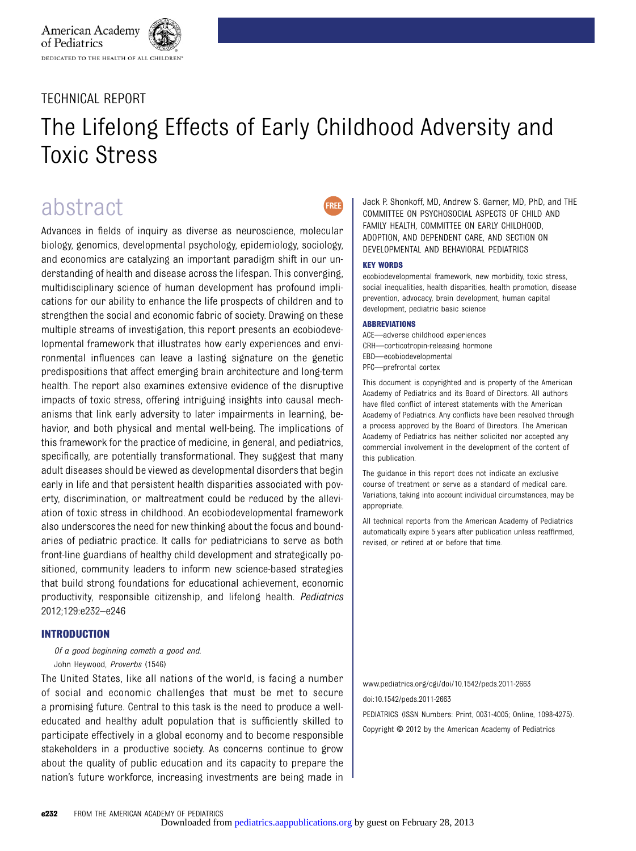

# TECHNICAL REPORT

# The Lifelong Effects of Early Childhood Adversity and Toxic Stress

**FREE** 

# abstract

Advances in fields of inquiry as diverse as neuroscience, molecular biology, genomics, developmental psychology, epidemiology, sociology, and economics are catalyzing an important paradigm shift in our understanding of health and disease across the lifespan. This converging, multidisciplinary science of human development has profound implications for our ability to enhance the life prospects of children and to strengthen the social and economic fabric of society. Drawing on these multiple streams of investigation, this report presents an ecobiodevelopmental framework that illustrates how early experiences and environmental influences can leave a lasting signature on the genetic predispositions that affect emerging brain architecture and long-term health. The report also examines extensive evidence of the disruptive impacts of toxic stress, offering intriguing insights into causal mechanisms that link early adversity to later impairments in learning, behavior, and both physical and mental well-being. The implications of this framework for the practice of medicine, in general, and pediatrics, specifically, are potentially transformational. They suggest that many adult diseases should be viewed as developmental disorders that begin early in life and that persistent health disparities associated with poverty, discrimination, or maltreatment could be reduced by the alleviation of toxic stress in childhood. An ecobiodevelopmental framework also underscores the need for new thinking about the focus and boundaries of pediatric practice. It calls for pediatricians to serve as both front-line guardians of healthy child development and strategically positioned, community leaders to inform new science-based strategies that build strong foundations for educational achievement, economic productivity, responsible citizenship, and lifelong health. Pediatrics 2012;129:e232–e246

#### INTRODUCTION

Of a good beginning cometh a good end. John Heywood, Proverbs (1546)

The United States, like all nations of the world, is facing a number of social and economic challenges that must be met to secure a promising future. Central to this task is the need to produce a welleducated and healthy adult population that is sufficiently skilled to participate effectively in a global economy and to become responsible stakeholders in a productive society. As concerns continue to grow about the quality of public education and its capacity to prepare the nation's future workforce, increasing investments are being made in Jack P. Shonkoff, MD, Andrew S. Garner, MD, PhD, and THE COMMITTEE ON PSYCHOSOCIAL ASPECTS OF CHILD AND FAMILY HEALTH, COMMITTEE ON EARLY CHILDHOOD, ADOPTION, AND DEPENDENT CARE, AND SECTION ON DEVELOPMENTAL AND BEHAVIORAL PEDIATRICS

#### KEY WORDS

ecobiodevelopmental framework, new morbidity, toxic stress, social inequalities, health disparities, health promotion, disease prevention, advocacy, brain development, human capital development, pediatric basic science

#### ABBREVIATIONS

ACE—adverse childhood experiences CRH—corticotropin-releasing hormone EBD—ecobiodevelopmental PFC—prefrontal cortex

This document is copyrighted and is property of the American Academy of Pediatrics and its Board of Directors. All authors have filed conflict of interest statements with the American Academy of Pediatrics. Any conflicts have been resolved through a process approved by the Board of Directors. The American Academy of Pediatrics has neither solicited nor accepted any commercial involvement in the development of the content of this publication.

The guidance in this report does not indicate an exclusive course of treatment or serve as a standard of medical care. Variations, taking into account individual circumstances, may be appropriate.

All technical reports from the American Academy of Pediatrics automatically expire 5 years after publication unless reaffirmed, revised, or retired at or before that time.

www.pediatrics.org/cgi/doi/10.1542/peds.2011-2663 doi:10.1542/peds.2011-2663

PEDIATRICS (ISSN Numbers: Print, 0031-4005; Online, 1098-4275). Copyright © 2012 by the American Academy of Pediatrics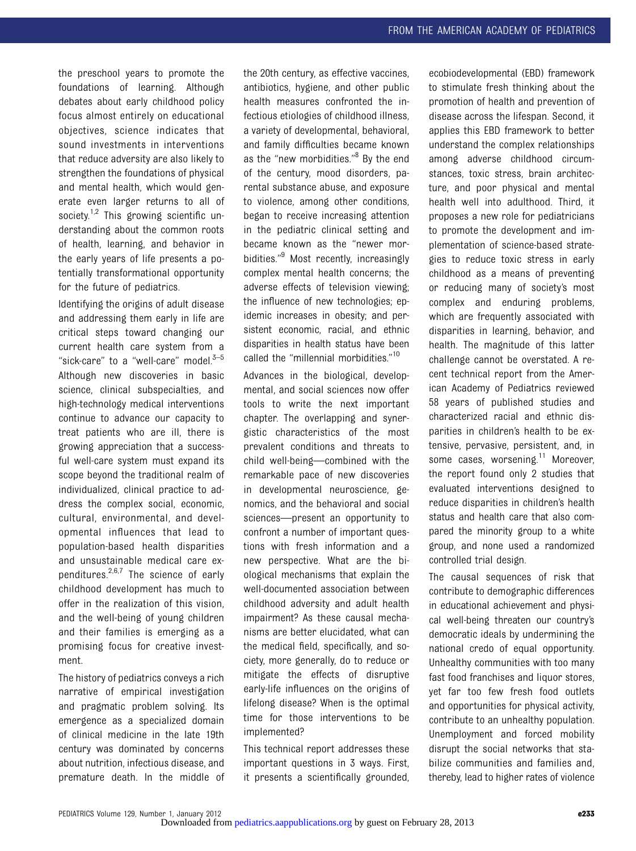the preschool years to promote the foundations of learning. Although debates about early childhood policy focus almost entirely on educational objectives, science indicates that sound investments in interventions that reduce adversity are also likely to strengthen the foundations of physical and mental health, which would generate even larger returns to all of society.<sup>1,2</sup> This growing scientific understanding about the common roots of health, learning, and behavior in the early years of life presents a potentially transformational opportunity for the future of pediatrics.

Identifying the origins of adult disease and addressing them early in life are critical steps toward changing our current health care system from a "sick-care" to a "well-care" model. $3-5$ Although new discoveries in basic science, clinical subspecialties, and high-technology medical interventions continue to advance our capacity to treat patients who are ill, there is growing appreciation that a successful well-care system must expand its scope beyond the traditional realm of individualized, clinical practice to address the complex social, economic, cultural, environmental, and developmental influences that lead to population-based health disparities and unsustainable medical care expenditures. $2,6,7$  The science of early childhood development has much to offer in the realization of this vision, and the well-being of young children and their families is emerging as a promising focus for creative investment.

The history of pediatrics conveys a rich narrative of empirical investigation and pragmatic problem solving. Its emergence as a specialized domain of clinical medicine in the late 19th century was dominated by concerns about nutrition, infectious disease, and premature death. In the middle of

the 20th century, as effective vaccines, antibiotics, hygiene, and other public health measures confronted the infectious etiologies of childhood illness, a variety of developmental, behavioral, and family difficulties became known as the "new morbidities."<sup>8</sup> By the end of the century, mood disorders, parental substance abuse, and exposure to violence, among other conditions, began to receive increasing attention in the pediatric clinical setting and became known as the "newer morbidities."<sup>9</sup> Most recently, increasingly complex mental health concerns; the adverse effects of television viewing; the influence of new technologies; epidemic increases in obesity; and persistent economic, racial, and ethnic disparities in health status have been called the "millennial morbidities."<sup>10</sup>

Advances in the biological, developmental, and social sciences now offer tools to write the next important chapter. The overlapping and synergistic characteristics of the most prevalent conditions and threats to child well-being—combined with the remarkable pace of new discoveries in developmental neuroscience, genomics, and the behavioral and social sciences—present an opportunity to confront a number of important questions with fresh information and a new perspective. What are the biological mechanisms that explain the well-documented association between childhood adversity and adult health impairment? As these causal mechanisms are better elucidated, what can the medical field, specifically, and society, more generally, do to reduce or mitigate the effects of disruptive early-life influences on the origins of lifelong disease? When is the optimal time for those interventions to be implemented?

This technical report addresses these important questions in 3 ways. First, it presents a scientifically grounded,

ecobiodevelopmental (EBD) framework to stimulate fresh thinking about the promotion of health and prevention of disease across the lifespan. Second, it applies this EBD framework to better understand the complex relationships among adverse childhood circumstances, toxic stress, brain architecture, and poor physical and mental health well into adulthood. Third, it proposes a new role for pediatricians to promote the development and implementation of science-based strategies to reduce toxic stress in early childhood as a means of preventing or reducing many of society's most complex and enduring problems, which are frequently associated with disparities in learning, behavior, and health. The magnitude of this latter challenge cannot be overstated. A recent technical report from the American Academy of Pediatrics reviewed 58 years of published studies and characterized racial and ethnic disparities in children's health to be extensive, pervasive, persistent, and, in some cases, worsening.<sup>11</sup> Moreover, the report found only 2 studies that evaluated interventions designed to reduce disparities in children's health status and health care that also compared the minority group to a white group, and none used a randomized controlled trial design.

The causal sequences of risk that contribute to demographic differences in educational achievement and physical well-being threaten our country's democratic ideals by undermining the national credo of equal opportunity. Unhealthy communities with too many fast food franchises and liquor stores, yet far too few fresh food outlets and opportunities for physical activity, contribute to an unhealthy population. Unemployment and forced mobility disrupt the social networks that stabilize communities and families and, thereby, lead to higher rates of violence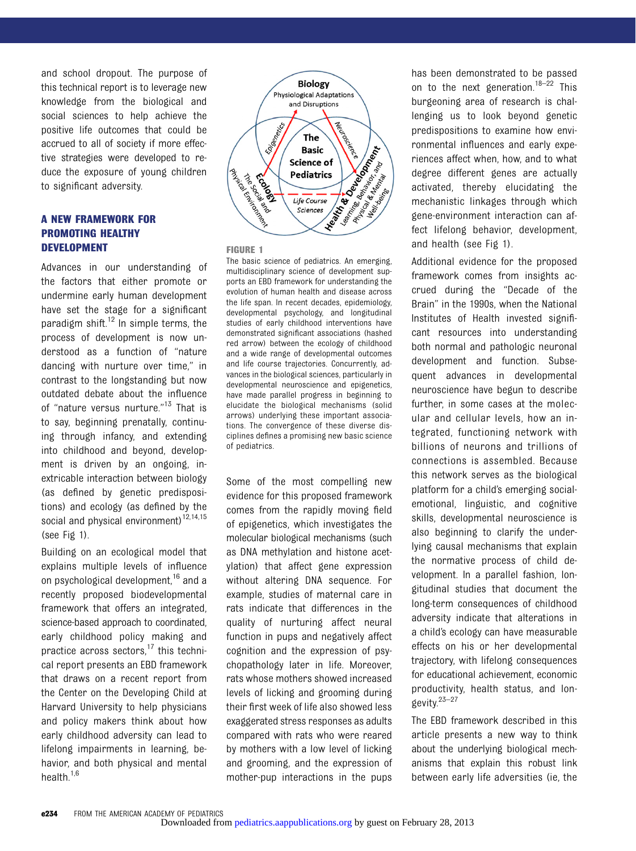and school dropout. The purpose of this technical report is to leverage new knowledge from the biological and social sciences to help achieve the positive life outcomes that could be accrued to all of society if more effective strategies were developed to reduce the exposure of young children to significant adversity.

# A NEW FRAMEWORK FOR PROMOTING HEALTHY DEVELOPMENT

Advances in our understanding of the factors that either promote or undermine early human development have set the stage for a significant paradigm shift.<sup>12</sup> In simple terms, the process of development is now understood as a function of "nature dancing with nurture over time," in contrast to the longstanding but now outdated debate about the influence of "nature versus nurture."<sup>13</sup> That is to say, beginning prenatally, continuing through infancy, and extending into childhood and beyond, development is driven by an ongoing, inextricable interaction between biology (as defined by genetic predispositions) and ecology (as defined by the social and physical environment)<sup>12,14,15</sup> (see Fig 1).

Building on an ecological model that explains multiple levels of influence on psychological development, <sup>16</sup> and a recently proposed biodevelopmental framework that offers an integrated, science-based approach to coordinated, early childhood policy making and practice across sectors, $17$  this technical report presents an EBD framework that draws on a recent report from the Center on the Developing Child at Harvard University to help physicians and policy makers think about how early childhood adversity can lead to lifelong impairments in learning, behavior, and both physical and mental health. $1,6$ 



#### FIGURE 1

The basic science of pediatrics. An emerging, multidisciplinary science of development supports an EBD framework for understanding the evolution of human health and disease across the life span. In recent decades, epidemiology, developmental psychology, and longitudinal studies of early childhood interventions have demonstrated significant associations (hashed red arrow) between the ecology of childhood and a wide range of developmental outcomes and life course trajectories. Concurrently, advances in the biological sciences, particularly in developmental neuroscience and epigenetics, have made parallel progress in beginning to elucidate the biological mechanisms (solid arrows) underlying these important associations. The convergence of these diverse disciplines defines a promising new basic science of pediatrics.

Some of the most compelling new evidence for this proposed framework comes from the rapidly moving field of epigenetics, which investigates the molecular biological mechanisms (such as DNA methylation and histone acetylation) that affect gene expression without altering DNA sequence. For example, studies of maternal care in rats indicate that differences in the quality of nurturing affect neural function in pups and negatively affect cognition and the expression of psychopathology later in life. Moreover, rats whose mothers showed increased levels of licking and grooming during their first week of life also showed less exaggerated stress responses as adults compared with rats who were reared by mothers with a low level of licking and grooming, and the expression of mother-pup interactions in the pups

has been demonstrated to be passed on to the next generation.<sup>18–22</sup> This burgeoning area of research is challenging us to look beyond genetic predispositions to examine how environmental influences and early experiences affect when, how, and to what degree different genes are actually activated, thereby elucidating the mechanistic linkages through which gene-environment interaction can affect lifelong behavior, development, and health (see Fig 1).

Additional evidence for the proposed framework comes from insights accrued during the "Decade of the Brain" in the 1990s, when the National Institutes of Health invested significant resources into understanding both normal and pathologic neuronal development and function. Subsequent advances in developmental neuroscience have begun to describe further, in some cases at the molecular and cellular levels, how an integrated, functioning network with billions of neurons and trillions of connections is assembled. Because this network serves as the biological platform for a child's emerging socialemotional, linguistic, and cognitive skills, developmental neuroscience is also beginning to clarify the underlying causal mechanisms that explain the normative process of child development. In a parallel fashion, longitudinal studies that document the long-term consequences of childhood adversity indicate that alterations in a child's ecology can have measurable effects on his or her developmental trajectory, with lifelong consequences for educational achievement, economic productivity, health status, and longevity.23–<sup>27</sup>

The EBD framework described in this article presents a new way to think about the underlying biological mechanisms that explain this robust link between early life adversities (ie, the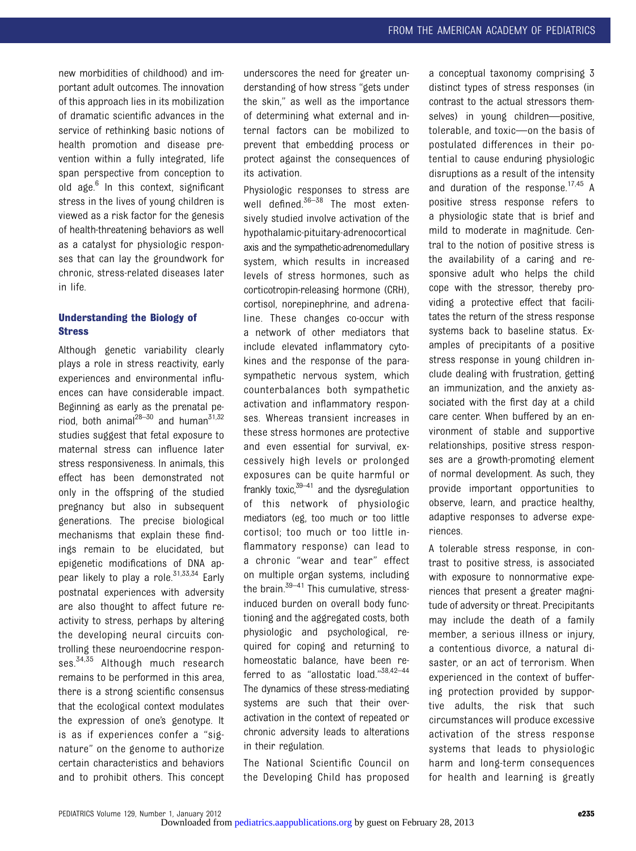new morbidities of childhood) and important adult outcomes. The innovation of this approach lies in its mobilization of dramatic scientific advances in the service of rethinking basic notions of health promotion and disease prevention within a fully integrated, life span perspective from conception to old age.<sup>6</sup> In this context, significant stress in the lives of young children is viewed as a risk factor for the genesis of health-threatening behaviors as well as a catalyst for physiologic responses that can lay the groundwork for chronic, stress-related diseases later in life.

# Understanding the Biology of Stress

Although genetic variability clearly plays a role in stress reactivity, early experiences and environmental influences can have considerable impact. Beginning as early as the prenatal period, both animal $^{28-30}$  and human $^{31,32}$ studies suggest that fetal exposure to maternal stress can influence later stress responsiveness. In animals, this effect has been demonstrated not only in the offspring of the studied pregnancy but also in subsequent generations. The precise biological mechanisms that explain these findings remain to be elucidated, but epigenetic modifications of DNA appear likely to play a role.<sup>31,33,34</sup> Early postnatal experiences with adversity are also thought to affect future reactivity to stress, perhaps by altering the developing neural circuits controlling these neuroendocrine responses.<sup>34,35</sup> Although much research remains to be performed in this area, there is a strong scientific consensus that the ecological context modulates the expression of one's genotype. It is as if experiences confer a "signature" on the genome to authorize certain characteristics and behaviors and to prohibit others. This concept

underscores the need for greater understanding of how stress "gets under the skin," as well as the importance of determining what external and internal factors can be mobilized to prevent that embedding process or protect against the consequences of its activation.

Physiologic responses to stress are well defined. $36-38$  The most extensively studied involve activation of the hypothalamic-pituitary-adrenocortical axis and the sympathetic-adrenomedullary system, which results in increased levels of stress hormones, such as corticotropin-releasing hormone (CRH), cortisol, norepinephrine, and adrenaline. These changes co-occur with a network of other mediators that include elevated inflammatory cytokines and the response of the parasympathetic nervous system, which counterbalances both sympathetic activation and inflammatory responses. Whereas transient increases in these stress hormones are protective and even essential for survival, excessively high levels or prolonged exposures can be quite harmful or frankly toxic, $39-41$  and the dysregulation of this network of physiologic mediators (eg, too much or too little cortisol; too much or too little inflammatory response) can lead to a chronic "wear and tear" effect on multiple organ systems, including the brain. $39-41$  This cumulative, stressinduced burden on overall body functioning and the aggregated costs, both physiologic and psychological, required for coping and returning to homeostatic balance, have been referred to as "allostatic load."<sup>38,42-44</sup> The dynamics of these stress-mediating systems are such that their overactivation in the context of repeated or chronic adversity leads to alterations in their regulation.

The National Scientific Council on the Developing Child has proposed a conceptual taxonomy comprising 3 distinct types of stress responses (in contrast to the actual stressors themselves) in young children—positive, tolerable, and toxic—on the basis of postulated differences in their potential to cause enduring physiologic disruptions as a result of the intensity and duration of the response.<sup>17,45</sup> A positive stress response refers to a physiologic state that is brief and mild to moderate in magnitude. Central to the notion of positive stress is the availability of a caring and responsive adult who helps the child cope with the stressor, thereby providing a protective effect that facilitates the return of the stress response systems back to baseline status. Examples of precipitants of a positive stress response in young children include dealing with frustration, getting an immunization, and the anxiety associated with the first day at a child care center. When buffered by an environment of stable and supportive relationships, positive stress responses are a growth-promoting element of normal development. As such, they provide important opportunities to observe, learn, and practice healthy, adaptive responses to adverse experiences.

A tolerable stress response, in contrast to positive stress, is associated with exposure to nonnormative experiences that present a greater magnitude of adversity or threat. Precipitants may include the death of a family member, a serious illness or injury, a contentious divorce, a natural disaster, or an act of terrorism. When experienced in the context of buffering protection provided by supportive adults, the risk that such circumstances will produce excessive activation of the stress response systems that leads to physiologic harm and long-term consequences for health and learning is greatly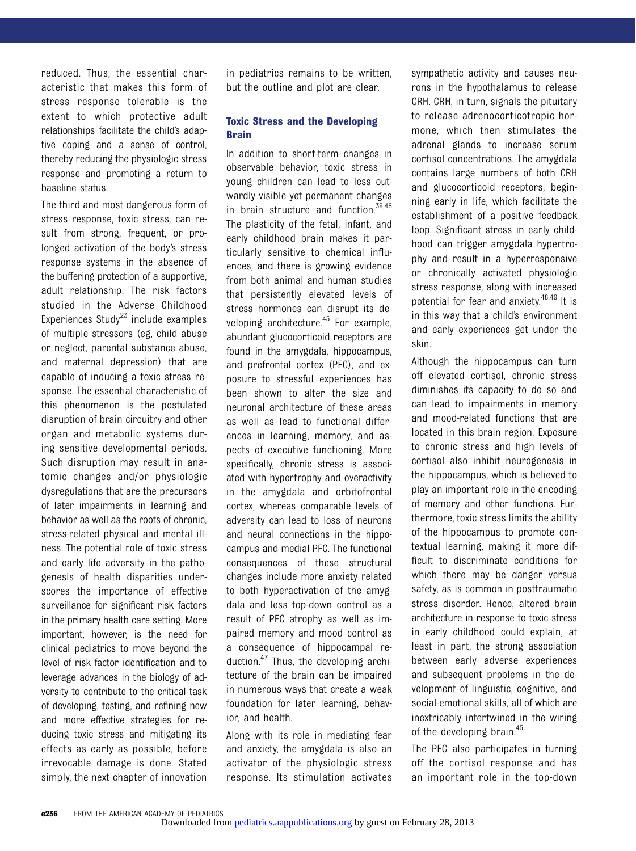reduced. Thus, the essential characteristic that makes this form of stress response tolerable is the extent to which protective adult relationships facilitate the child's adaptive coping and a sense of control, thereby reducing the physiologic stress response and promoting a return to baseline status.

The third and most dangerous form of stress response, toxic stress, can result from strong, frequent, or prolonged activation of the body's stress response systems in the absence of the buffering protection of a supportive, adult relationship. The risk factors studied in the Adverse Childhood Experiences Study $^{23}$  include examples of multiple stressors (eg, child abuse or neglect, parental substance abuse, and maternal depression) that are capable of inducing a toxic stress response. The essential characteristic of this phenomenon is the postulated disruption of brain circuitry and other organ and metabolic systems during sensitive developmental periods. Such disruption may result in anatomic changes and/or physiologic dysregulations that are the precursors of later impairments in learning and behavior as well as the roots of chronic, stress-related physical and mental illness. The potential role of toxic stress and early life adversity in the pathogenesis of health disparities underscores the importance of effective surveillance for significant risk factors in the primary health care setting. More important, however, is the need for clinical pediatrics to move beyond the level of risk factor identification and to leverage advances in the biology of adversity to contribute to the critical task of developing, testing, and refining new and more effective strategies for reducing toxic stress and mitigating its effects as early as possible, before irrevocable damage is done. Stated simply, the next chapter of innovation in pediatrics remains to be written, but the outline and plot are clear.

### Toxic Stress and the Developing **Brain**

In addition to short-term changes in observable behavior, toxic stress in young children can lead to less outwardly visible yet permanent changes in brain structure and function.<sup>39,46</sup> The plasticity of the fetal, infant, and early childhood brain makes it particularly sensitive to chemical influences, and there is growing evidence from both animal and human studies that persistently elevated levels of stress hormones can disrupt its developing architecture.<sup>45</sup> For example, abundant glucocorticoid receptors are found in the amygdala, hippocampus, and prefrontal cortex (PFC), and exposure to stressful experiences has been shown to alter the size and neuronal architecture of these areas as well as lead to functional differences in learning, memory, and aspects of executive functioning. More specifically, chronic stress is associated with hypertrophy and overactivity in the amygdala and orbitofrontal cortex, whereas comparable levels of adversity can lead to loss of neurons and neural connections in the hippocampus and medial PFC. The functional consequences of these structural changes include more anxiety related to both hyperactivation of the amygdala and less top-down control as a result of PFC atrophy as well as impaired memory and mood control as a consequence of hippocampal reduction.47 Thus, the developing architecture of the brain can be impaired in numerous ways that create a weak foundation for later learning, behavior, and health.

Along with its role in mediating fear and anxiety, the amygdala is also an activator of the physiologic stress response. Its stimulation activates sympathetic activity and causes neurons in the hypothalamus to release CRH. CRH, in turn, signals the pituitary to release adrenocorticotropic hormone, which then stimulates the adrenal glands to increase serum cortisol concentrations. The amygdala contains large numbers of both CRH and glucocorticoid receptors, beginning early in life, which facilitate the establishment of a positive feedback loop. Significant stress in early childhood can trigger amygdala hypertrophy and result in a hyperresponsive or chronically activated physiologic stress response, along with increased potential for fear and anxiety.<sup>48,49</sup> It is in this way that a child's environment and early experiences get under the skin.

Although the hippocampus can turn off elevated cortisol, chronic stress diminishes its capacity to do so and can lead to impairments in memory and mood-related functions that are located in this brain region. Exposure to chronic stress and high levels of cortisol also inhibit neurogenesis in the hippocampus, which is believed to play an important role in the encoding of memory and other functions. Furthermore, toxic stress limits the ability of the hippocampus to promote contextual learning, making it more difficult to discriminate conditions for which there may be danger versus safety, as is common in posttraumatic stress disorder. Hence, altered brain architecture in response to toxic stress in early childhood could explain, at least in part, the strong association between early adverse experiences and subsequent problems in the development of linguistic, cognitive, and social-emotional skills, all of which are inextricably intertwined in the wiring of the developing brain.<sup>45</sup>

The PFC also participates in turning off the cortisol response and has an important role in the top-down

Downloaded from [pediatrics.aappublications.org](http://pediatrics.aappublications.org/) by guest on February 28, 2013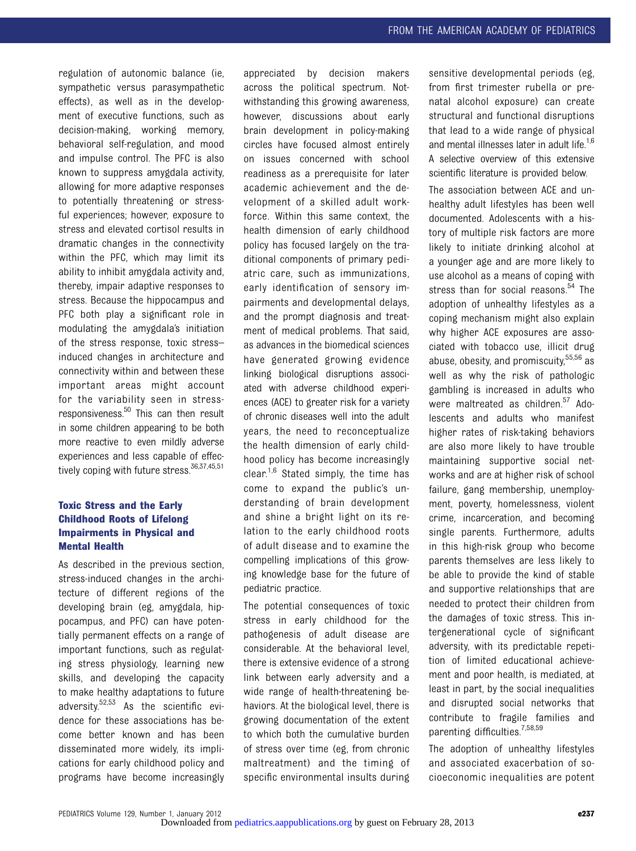regulation of autonomic balance (ie, sympathetic versus parasympathetic effects), as well as in the development of executive functions, such as decision-making, working memory, behavioral self-regulation, and mood and impulse control. The PFC is also known to suppress amygdala activity, allowing for more adaptive responses to potentially threatening or stressful experiences; however, exposure to stress and elevated cortisol results in dramatic changes in the connectivity within the PFC, which may limit its ability to inhibit amygdala activity and, thereby, impair adaptive responses to stress. Because the hippocampus and PFC both play a significant role in modulating the amygdala's initiation of the stress response, toxic stress– induced changes in architecture and connectivity within and between these important areas might account for the variability seen in stressresponsiveness. $50$  This can then result in some children appearing to be both more reactive to even mildly adverse experiences and less capable of effectively coping with future stress.<sup>36,37,45,51</sup>

# Toxic Stress and the Early Childhood Roots of Lifelong Impairments in Physical and Mental Health

As described in the previous section, stress-induced changes in the architecture of different regions of the developing brain (eg, amygdala, hippocampus, and PFC) can have potentially permanent effects on a range of important functions, such as regulating stress physiology, learning new skills, and developing the capacity to make healthy adaptations to future adversity.52,53 As the scientific evidence for these associations has become better known and has been disseminated more widely, its implications for early childhood policy and programs have become increasingly

appreciated by decision makers across the political spectrum. Notwithstanding this growing awareness, however, discussions about early brain development in policy-making circles have focused almost entirely on issues concerned with school readiness as a prerequisite for later academic achievement and the development of a skilled adult workforce. Within this same context, the health dimension of early childhood policy has focused largely on the traditional components of primary pediatric care, such as immunizations, early identification of sensory impairments and developmental delays, and the prompt diagnosis and treatment of medical problems. That said, as advances in the biomedical sciences have generated growing evidence linking biological disruptions associated with adverse childhood experiences (ACE) to greater risk for a variety of chronic diseases well into the adult years, the need to reconceptualize the health dimension of early childhood policy has become increasingly clear. $1,6$  Stated simply, the time has come to expand the public's understanding of brain development and shine a bright light on its relation to the early childhood roots of adult disease and to examine the compelling implications of this growing knowledge base for the future of pediatric practice.

The potential consequences of toxic stress in early childhood for the pathogenesis of adult disease are considerable. At the behavioral level, there is extensive evidence of a strong link between early adversity and a wide range of health-threatening behaviors. At the biological level, there is growing documentation of the extent to which both the cumulative burden of stress over time (eg, from chronic maltreatment) and the timing of specific environmental insults during

sensitive developmental periods (eg, from first trimester rubella or prenatal alcohol exposure) can create structural and functional disruptions that lead to a wide range of physical and mental illnesses later in adult life. $1,6$ A selective overview of this extensive scientific literature is provided below.

The association between ACE and unhealthy adult lifestyles has been well documented. Adolescents with a history of multiple risk factors are more likely to initiate drinking alcohol at a younger age and are more likely to use alcohol as a means of coping with stress than for social reasons.<sup>54</sup> The adoption of unhealthy lifestyles as a coping mechanism might also explain why higher ACE exposures are associated with tobacco use, illicit drug abuse, obesity, and promiscuity, 55,56 as well as why the risk of pathologic gambling is increased in adults who were maltreated as children.<sup>57</sup> Adolescents and adults who manifest higher rates of risk-taking behaviors are also more likely to have trouble maintaining supportive social networks and are at higher risk of school failure, gang membership, unemployment, poverty, homelessness, violent crime, incarceration, and becoming single parents. Furthermore, adults in this high-risk group who become parents themselves are less likely to be able to provide the kind of stable and supportive relationships that are needed to protect their children from the damages of toxic stress. This intergenerational cycle of significant adversity, with its predictable repetition of limited educational achievement and poor health, is mediated, at least in part, by the social inequalities and disrupted social networks that contribute to fragile families and parenting difficulties.<sup>7,58,59</sup>

The adoption of unhealthy lifestyles and associated exacerbation of socioeconomic inequalities are potent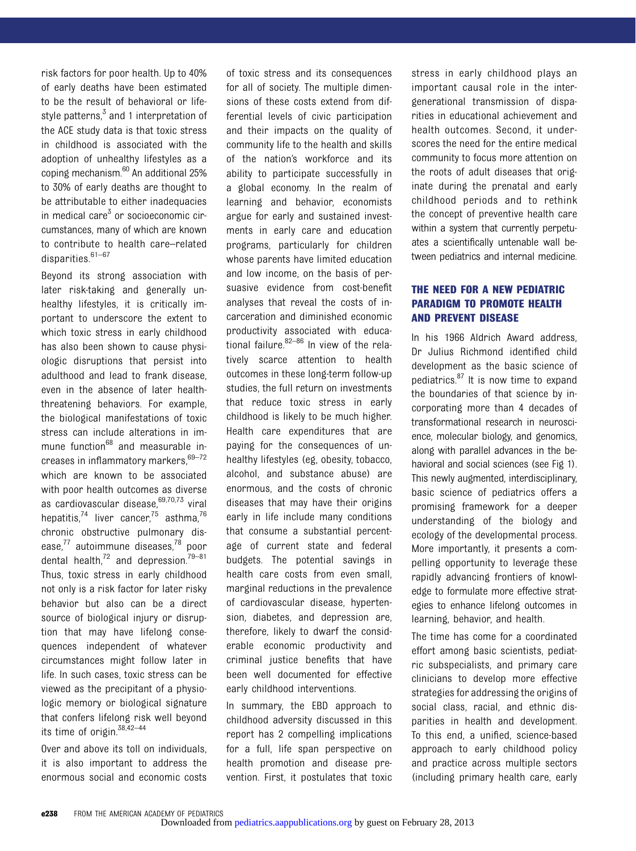risk factors for poor health. Up to 40% of early deaths have been estimated to be the result of behavioral or lifestyle patterns, $3$  and 1 interpretation of the ACE study data is that toxic stress in childhood is associated with the adoption of unhealthy lifestyles as a coping mechanism.<sup>60</sup> An additional 25% to 30% of early deaths are thought to be attributable to either inadequacies in medical care $3$  or socioeconomic circumstances, many of which are known to contribute to health care–related disparities. $61-67$ 

Beyond its strong association with later risk-taking and generally unhealthy lifestyles, it is critically important to underscore the extent to which toxic stress in early childhood has also been shown to cause physiologic disruptions that persist into adulthood and lead to frank disease, even in the absence of later healththreatening behaviors. For example, the biological manifestations of toxic stress can include alterations in immune function<sup>68</sup> and measurable increases in inflammatory markers,  $69-72$ which are known to be associated with poor health outcomes as diverse as cardiovascular disease.<sup>69,70,73</sup> viral hepatitis,<sup>74</sup> liver cancer,<sup>75</sup> asthma,<sup>76</sup> chronic obstructive pulmonary disease,<sup>77</sup> autoimmune diseases,<sup>78</sup> poor dental health, $72$  and depression. $79-81$ Thus, toxic stress in early childhood not only is a risk factor for later risky behavior but also can be a direct source of biological injury or disruption that may have lifelong consequences independent of whatever circumstances might follow later in life. In such cases, toxic stress can be viewed as the precipitant of a physiologic memory or biological signature that confers lifelong risk well beyond its time of origin.38,42–<sup>44</sup>

Over and above its toll on individuals, it is also important to address the enormous social and economic costs

of toxic stress and its consequences for all of society. The multiple dimensions of these costs extend from differential levels of civic participation and their impacts on the quality of community life to the health and skills of the nation's workforce and its ability to participate successfully in a global economy. In the realm of learning and behavior, economists argue for early and sustained investments in early care and education programs, particularly for children whose parents have limited education and low income, on the basis of persuasive evidence from cost-benefit analyses that reveal the costs of incarceration and diminished economic productivity associated with educational failure. $82-86$  In view of the relatively scarce attention to health outcomes in these long-term follow-up studies, the full return on investments that reduce toxic stress in early childhood is likely to be much higher. Health care expenditures that are paying for the consequences of unhealthy lifestyles (eg, obesity, tobacco, alcohol, and substance abuse) are enormous, and the costs of chronic diseases that may have their origins early in life include many conditions that consume a substantial percentage of current state and federal budgets. The potential savings in health care costs from even small, marginal reductions in the prevalence of cardiovascular disease, hypertension, diabetes, and depression are, therefore, likely to dwarf the considerable economic productivity and criminal justice benefits that have been well documented for effective early childhood interventions.

In summary, the EBD approach to childhood adversity discussed in this report has 2 compelling implications for a full, life span perspective on health promotion and disease prevention. First, it postulates that toxic stress in early childhood plays an important causal role in the intergenerational transmission of disparities in educational achievement and health outcomes. Second, it underscores the need for the entire medical community to focus more attention on the roots of adult diseases that originate during the prenatal and early childhood periods and to rethink the concept of preventive health care within a system that currently perpetuates a scientifically untenable wall between pediatrics and internal medicine.

# THE NEED FOR A NEW PEDIATRIC PARADIGM TO PROMOTE HEALTH AND PREVENT DISEASE

In his 1966 Aldrich Award address, Dr Julius Richmond identified child development as the basic science of pediatrics.<sup>87</sup> It is now time to expand the boundaries of that science by incorporating more than 4 decades of transformational research in neuroscience, molecular biology, and genomics, along with parallel advances in the behavioral and social sciences (see Fig 1). This newly augmented, interdisciplinary, basic science of pediatrics offers a promising framework for a deeper understanding of the biology and ecology of the developmental process. More importantly, it presents a compelling opportunity to leverage these rapidly advancing frontiers of knowledge to formulate more effective strategies to enhance lifelong outcomes in learning, behavior, and health.

The time has come for a coordinated effort among basic scientists, pediatric subspecialists, and primary care clinicians to develop more effective strategies for addressing the origins of social class, racial, and ethnic disparities in health and development. To this end, a unified, science-based approach to early childhood policy and practice across multiple sectors (including primary health care, early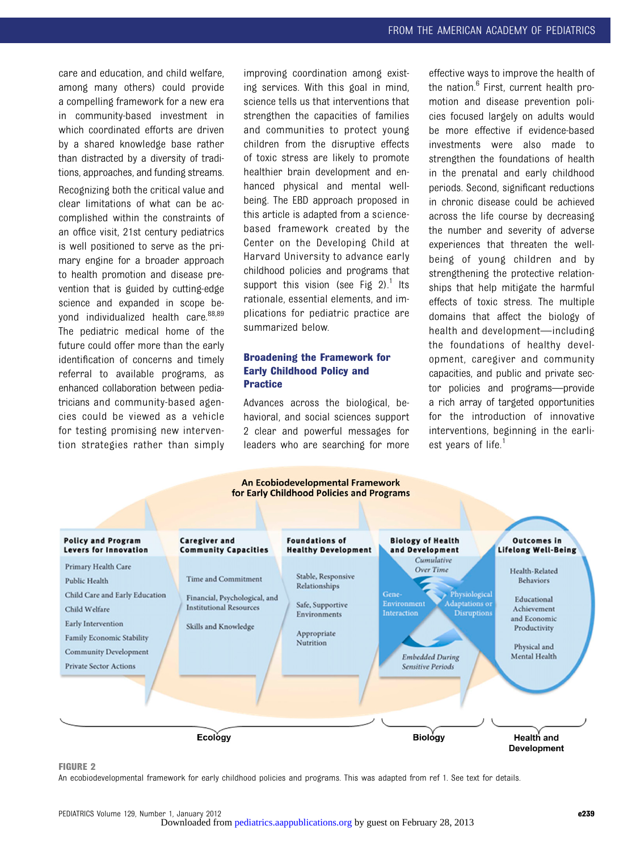care and education, and child welfare, among many others) could provide a compelling framework for a new era in community-based investment in which coordinated efforts are driven by a shared knowledge base rather than distracted by a diversity of traditions, approaches, and funding streams. Recognizing both the critical value and clear limitations of what can be accomplished within the constraints of an office visit, 21st century pediatrics is well positioned to serve as the primary engine for a broader approach to health promotion and disease prevention that is guided by cutting-edge science and expanded in scope beyond individualized health care.<sup>88,89</sup> The pediatric medical home of the future could offer more than the early identification of concerns and timely referral to available programs, as enhanced collaboration between pediatricians and community-based agencies could be viewed as a vehicle for testing promising new intervention strategies rather than simply

improving coordination among existing services. With this goal in mind, science tells us that interventions that strengthen the capacities of families and communities to protect young children from the disruptive effects of toxic stress are likely to promote healthier brain development and enhanced physical and mental wellbeing. The EBD approach proposed in this article is adapted from a sciencebased framework created by the Center on the Developing Child at Harvard University to advance early childhood policies and programs that support this vision (see Fig 2).<sup>1</sup> Its rationale, essential elements, and implications for pediatric practice are summarized below.

# Broadening the Framework for Early Childhood Policy and **Practice**

Advances across the biological, behavioral, and social sciences support 2 clear and powerful messages for leaders who are searching for more

effective ways to improve the health of the nation.<sup>6</sup> First, current health promotion and disease prevention policies focused largely on adults would be more effective if evidence-based investments were also made to strengthen the foundations of health in the prenatal and early childhood periods. Second, significant reductions in chronic disease could be achieved across the life course by decreasing the number and severity of adverse experiences that threaten the wellbeing of young children and by strengthening the protective relationships that help mitigate the harmful effects of toxic stress. The multiple domains that affect the biology of health and development—including the foundations of healthy development, caregiver and community capacities, and public and private sector policies and programs—provide a rich array of targeted opportunities for the introduction of innovative interventions, beginning in the earliest years of life.<sup>1</sup>



**FIGURE 2** 

An ecobiodevelopmental framework for early childhood policies and programs. This was adapted from ref 1. See text for details.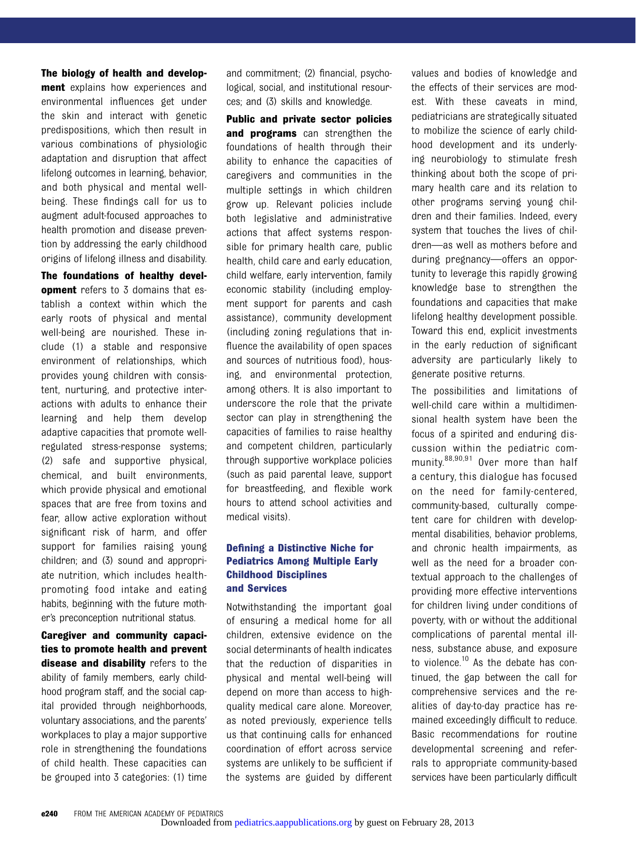#### The biology of health and develop-

**ment** explains how experiences and environmental influences get under the skin and interact with genetic predispositions, which then result in various combinations of physiologic adaptation and disruption that affect lifelong outcomes in learning, behavior, and both physical and mental wellbeing. These findings call for us to augment adult-focused approaches to health promotion and disease prevention by addressing the early childhood origins of lifelong illness and disability.

The foundations of healthy development refers to 3 domains that establish a context within which the early roots of physical and mental well-being are nourished. These include (1) a stable and responsive environment of relationships, which provides young children with consistent, nurturing, and protective interactions with adults to enhance their learning and help them develop adaptive capacities that promote wellregulated stress-response systems; (2) safe and supportive physical, chemical, and built environments, which provide physical and emotional spaces that are free from toxins and fear, allow active exploration without significant risk of harm, and offer support for families raising young children; and (3) sound and appropriate nutrition, which includes healthpromoting food intake and eating habits, beginning with the future mother's preconception nutritional status.

Caregiver and community capacities to promote health and prevent disease and disability refers to the ability of family members, early childhood program staff, and the social capital provided through neighborhoods, voluntary associations, and the parents' workplaces to play a major supportive role in strengthening the foundations of child health. These capacities can be grouped into 3 categories: (1) time

and commitment; (2) financial, psychological, social, and institutional resources; and (3) skills and knowledge.

Public and private sector policies and programs can strengthen the foundations of health through their ability to enhance the capacities of caregivers and communities in the multiple settings in which children grow up. Relevant policies include both legislative and administrative actions that affect systems responsible for primary health care, public health, child care and early education, child welfare, early intervention, family economic stability (including employment support for parents and cash assistance), community development (including zoning regulations that influence the availability of open spaces and sources of nutritious food), housing, and environmental protection, among others. It is also important to underscore the role that the private sector can play in strengthening the capacities of families to raise healthy and competent children, particularly through supportive workplace policies (such as paid parental leave, support for breastfeeding, and flexible work hours to attend school activities and medical visits).

# Defining a Distinctive Niche for Pediatrics Among Multiple Early Childhood Disciplines and Services

Notwithstanding the important goal of ensuring a medical home for all children, extensive evidence on the social determinants of health indicates that the reduction of disparities in physical and mental well-being will depend on more than access to highquality medical care alone. Moreover, as noted previously, experience tells us that continuing calls for enhanced coordination of effort across service systems are unlikely to be sufficient if the systems are guided by different values and bodies of knowledge and the effects of their services are modest. With these caveats in mind, pediatricians are strategically situated to mobilize the science of early childhood development and its underlying neurobiology to stimulate fresh thinking about both the scope of primary health care and its relation to other programs serving young children and their families. Indeed, every system that touches the lives of children—as well as mothers before and during pregnancy—offers an opportunity to leverage this rapidly growing knowledge base to strengthen the foundations and capacities that make lifelong healthy development possible. Toward this end, explicit investments in the early reduction of significant adversity are particularly likely to generate positive returns.

The possibilities and limitations of well-child care within a multidimensional health system have been the focus of a spirited and enduring discussion within the pediatric community.<sup>88,90,91</sup> Over more than half a century, this dialogue has focused on the need for family-centered, community-based, culturally competent care for children with developmental disabilities, behavior problems, and chronic health impairments, as well as the need for a broader contextual approach to the challenges of providing more effective interventions for children living under conditions of poverty, with or without the additional complications of parental mental illness, substance abuse, and exposure to violence.<sup>10</sup> As the debate has continued, the gap between the call for comprehensive services and the realities of day-to-day practice has remained exceedingly difficult to reduce. Basic recommendations for routine developmental screening and referrals to appropriate community-based services have been particularly difficult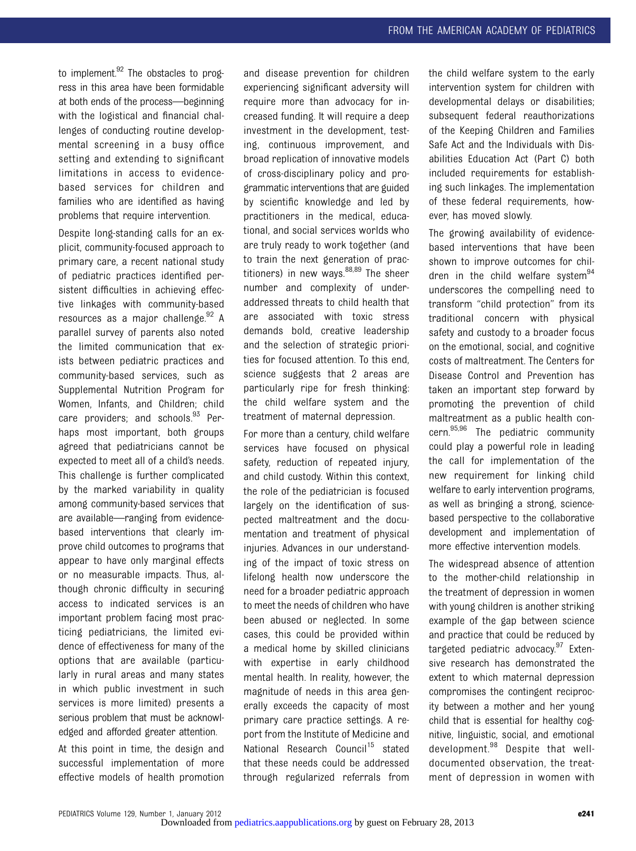to implement. $92$  The obstacles to progress in this area have been formidable at both ends of the process—beginning with the logistical and financial challenges of conducting routine developmental screening in a busy office setting and extending to significant limitations in access to evidencebased services for children and families who are identified as having problems that require intervention.

Despite long-standing calls for an explicit, community-focused approach to primary care, a recent national study of pediatric practices identified persistent difficulties in achieving effective linkages with community-based resources as a major challenge. $^{92}$  A parallel survey of parents also noted the limited communication that exists between pediatric practices and community-based services, such as Supplemental Nutrition Program for Women, Infants, and Children; child care providers; and schools.<sup>93</sup> Perhaps most important, both groups agreed that pediatricians cannot be expected to meet all of a child's needs. This challenge is further complicated by the marked variability in quality among community-based services that are available—ranging from evidencebased interventions that clearly improve child outcomes to programs that appear to have only marginal effects or no measurable impacts. Thus, although chronic difficulty in securing access to indicated services is an important problem facing most practicing pediatricians, the limited evidence of effectiveness for many of the options that are available (particularly in rural areas and many states in which public investment in such services is more limited) presents a serious problem that must be acknowledged and afforded greater attention.

At this point in time, the design and successful implementation of more effective models of health promotion

and disease prevention for children experiencing significant adversity will require more than advocacy for increased funding. It will require a deep investment in the development, testing, continuous improvement, and broad replication of innovative models of cross-disciplinary policy and programmatic interventions that are guided by scientific knowledge and led by practitioners in the medical, educational, and social services worlds who are truly ready to work together (and to train the next generation of practitioners) in new ways. $88,89$  The sheer number and complexity of underaddressed threats to child health that are associated with toxic stress demands bold, creative leadership and the selection of strategic priorities for focused attention. To this end, science suggests that 2 areas are particularly ripe for fresh thinking: the child welfare system and the treatment of maternal depression.

For more than a century, child welfare services have focused on physical safety, reduction of repeated injury, and child custody. Within this context, the role of the pediatrician is focused largely on the identification of suspected maltreatment and the documentation and treatment of physical injuries. Advances in our understanding of the impact of toxic stress on lifelong health now underscore the need for a broader pediatric approach to meet the needs of children who have been abused or neglected. In some cases, this could be provided within a medical home by skilled clinicians with expertise in early childhood mental health. In reality, however, the magnitude of needs in this area generally exceeds the capacity of most primary care practice settings. A report from the Institute of Medicine and National Research Council<sup>15</sup> stated that these needs could be addressed through regularized referrals from the child welfare system to the early intervention system for children with developmental delays or disabilities; subsequent federal reauthorizations of the Keeping Children and Families Safe Act and the Individuals with Disabilities Education Act (Part C) both included requirements for establishing such linkages. The implementation of these federal requirements, however, has moved slowly.

The growing availability of evidencebased interventions that have been shown to improve outcomes for children in the child welfare system $94$ underscores the compelling need to transform "child protection" from its traditional concern with physical safety and custody to a broader focus on the emotional, social, and cognitive costs of maltreatment. The Centers for Disease Control and Prevention has taken an important step forward by promoting the prevention of child maltreatment as a public health concern.<sup>95,96</sup> The pediatric community could play a powerful role in leading the call for implementation of the new requirement for linking child welfare to early intervention programs, as well as bringing a strong, sciencebased perspective to the collaborative development and implementation of more effective intervention models.

The widespread absence of attention to the mother-child relationship in the treatment of depression in women with young children is another striking example of the gap between science and practice that could be reduced by targeted pediatric advocacy. $97$  Extensive research has demonstrated the extent to which maternal depression compromises the contingent reciprocity between a mother and her young child that is essential for healthy cognitive, linguistic, social, and emotional development.<sup>98</sup> Despite that welldocumented observation, the treatment of depression in women with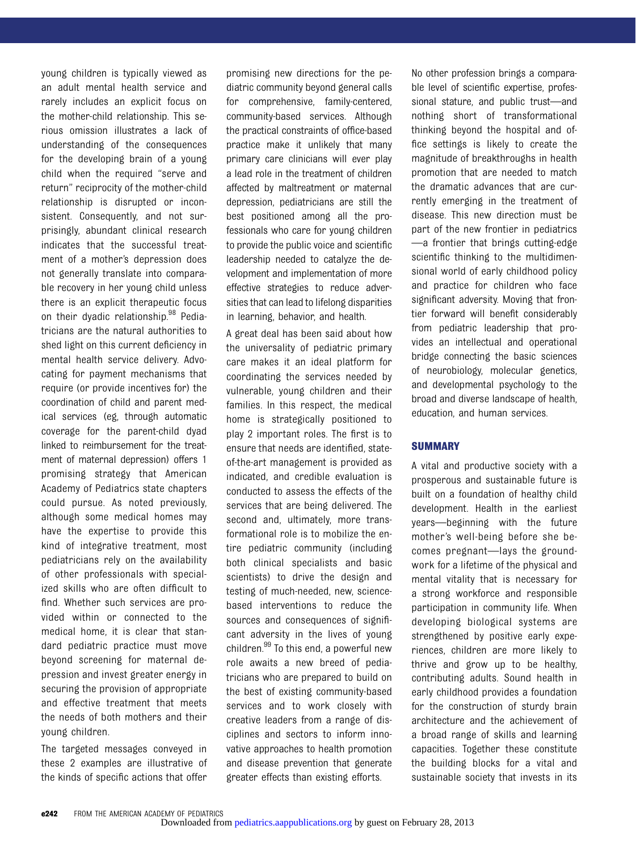young children is typically viewed as an adult mental health service and rarely includes an explicit focus on the mother-child relationship. This serious omission illustrates a lack of understanding of the consequences for the developing brain of a young child when the required "serve and return" reciprocity of the mother-child relationship is disrupted or inconsistent. Consequently, and not surprisingly, abundant clinical research indicates that the successful treatment of a mother's depression does not generally translate into comparable recovery in her young child unless there is an explicit therapeutic focus on their dyadic relationship.<sup>98</sup> Pediatricians are the natural authorities to shed light on this current deficiency in mental health service delivery. Advocating for payment mechanisms that require (or provide incentives for) the coordination of child and parent medical services (eg, through automatic coverage for the parent-child dyad linked to reimbursement for the treatment of maternal depression) offers 1 promising strategy that American Academy of Pediatrics state chapters could pursue. As noted previously, although some medical homes may have the expertise to provide this kind of integrative treatment, most pediatricians rely on the availability of other professionals with specialized skills who are often difficult to find. Whether such services are provided within or connected to the medical home, it is clear that standard pediatric practice must move beyond screening for maternal depression and invest greater energy in securing the provision of appropriate and effective treatment that meets the needs of both mothers and their young children.

The targeted messages conveyed in these 2 examples are illustrative of the kinds of specific actions that offer

promising new directions for the pediatric community beyond general calls for comprehensive, family-centered, community-based services. Although the practical constraints of office-based practice make it unlikely that many primary care clinicians will ever play a lead role in the treatment of children affected by maltreatment or maternal depression, pediatricians are still the best positioned among all the professionals who care for young children to provide the public voice and scientific leadership needed to catalyze the development and implementation of more effective strategies to reduce adversities that can lead to lifelong disparities in learning, behavior, and health.

A great deal has been said about how the universality of pediatric primary care makes it an ideal platform for coordinating the services needed by vulnerable, young children and their families. In this respect, the medical home is strategically positioned to play 2 important roles. The first is to ensure that needs are identified, stateof-the-art management is provided as indicated, and credible evaluation is conducted to assess the effects of the services that are being delivered. The second and, ultimately, more transformational role is to mobilize the entire pediatric community (including both clinical specialists and basic scientists) to drive the design and testing of much-needed, new, sciencebased interventions to reduce the sources and consequences of significant adversity in the lives of young children.<sup>99</sup> To this end, a powerful new role awaits a new breed of pediatricians who are prepared to build on the best of existing community-based services and to work closely with creative leaders from a range of disciplines and sectors to inform innovative approaches to health promotion and disease prevention that generate greater effects than existing efforts.

No other profession brings a comparable level of scientific expertise, professional stature, and public trust—and nothing short of transformational thinking beyond the hospital and office settings is likely to create the magnitude of breakthroughs in health promotion that are needed to match the dramatic advances that are currently emerging in the treatment of disease. This new direction must be part of the new frontier in pediatrics —a frontier that brings cutting-edge scientific thinking to the multidimensional world of early childhood policy and practice for children who face significant adversity. Moving that frontier forward will benefit considerably from pediatric leadership that provides an intellectual and operational bridge connecting the basic sciences of neurobiology, molecular genetics, and developmental psychology to the broad and diverse landscape of health, education, and human services.

# **SUMMARY**

A vital and productive society with a prosperous and sustainable future is built on a foundation of healthy child development. Health in the earliest years—beginning with the future mother's well-being before she becomes pregnant—lays the groundwork for a lifetime of the physical and mental vitality that is necessary for a strong workforce and responsible participation in community life. When developing biological systems are strengthened by positive early experiences, children are more likely to thrive and grow up to be healthy, contributing adults. Sound health in early childhood provides a foundation for the construction of sturdy brain architecture and the achievement of a broad range of skills and learning capacities. Together these constitute the building blocks for a vital and sustainable society that invests in its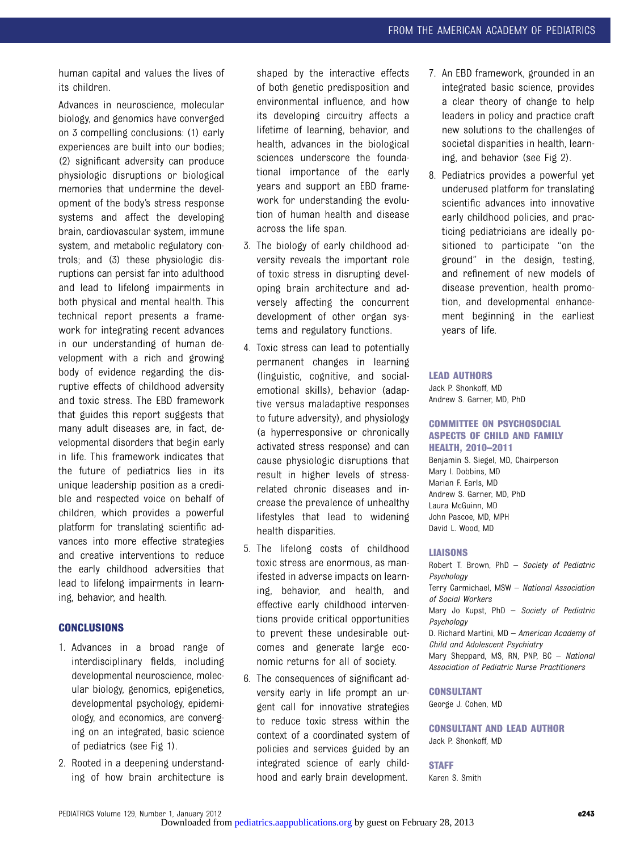human capital and values the lives of its children.

Advances in neuroscience, molecular biology, and genomics have converged on 3 compelling conclusions: (1) early experiences are built into our bodies; (2) significant adversity can produce physiologic disruptions or biological memories that undermine the development of the body's stress response systems and affect the developing brain, cardiovascular system, immune system, and metabolic regulatory controls; and (3) these physiologic disruptions can persist far into adulthood and lead to lifelong impairments in both physical and mental health. This technical report presents a framework for integrating recent advances in our understanding of human development with a rich and growing body of evidence regarding the disruptive effects of childhood adversity and toxic stress. The EBD framework that guides this report suggests that many adult diseases are, in fact, developmental disorders that begin early in life. This framework indicates that the future of pediatrics lies in its unique leadership position as a credible and respected voice on behalf of children, which provides a powerful platform for translating scientific advances into more effective strategies and creative interventions to reduce the early childhood adversities that lead to lifelong impairments in learning, behavior, and health.

### **CONCLUSIONS**

- 1. Advances in a broad range of interdisciplinary fields, including developmental neuroscience, molecular biology, genomics, epigenetics, developmental psychology, epidemiology, and economics, are converging on an integrated, basic science of pediatrics (see Fig 1).
- 2. Rooted in a deepening understanding of how brain architecture is

shaped by the interactive effects of both genetic predisposition and environmental influence, and how its developing circuitry affects a lifetime of learning, behavior, and health, advances in the biological sciences underscore the foundational importance of the early years and support an EBD framework for understanding the evolution of human health and disease across the life span.

- 3. The biology of early childhood adversity reveals the important role of toxic stress in disrupting developing brain architecture and adversely affecting the concurrent development of other organ systems and regulatory functions.
- 4. Toxic stress can lead to potentially permanent changes in learning (linguistic, cognitive, and socialemotional skills), behavior (adaptive versus maladaptive responses to future adversity), and physiology (a hyperresponsive or chronically activated stress response) and can cause physiologic disruptions that result in higher levels of stressrelated chronic diseases and increase the prevalence of unhealthy lifestyles that lead to widening health disparities.
- 5. The lifelong costs of childhood toxic stress are enormous, as manifested in adverse impacts on learning, behavior, and health, and effective early childhood interventions provide critical opportunities to prevent these undesirable outcomes and generate large economic returns for all of society.
- 6. The consequences of significant adversity early in life prompt an urgent call for innovative strategies to reduce toxic stress within the context of a coordinated system of policies and services guided by an integrated science of early childhood and early brain development.
- 7. An EBD framework, grounded in an integrated basic science, provides a clear theory of change to help leaders in policy and practice craft new solutions to the challenges of societal disparities in health, learning, and behavior (see Fig 2).
- 8. Pediatrics provides a powerful yet underused platform for translating scientific advances into innovative early childhood policies, and practicing pediatricians are ideally positioned to participate "on the ground" in the design, testing, and refinement of new models of disease prevention, health promotion, and developmental enhancement beginning in the earliest years of life.

#### LEAD AUTHORS

Jack P. Shonkoff, MD Andrew S. Garner, MD, PhD

#### COMMITTEE ON PSYCHOSOCIAL ASPECTS OF CHILD AND FAMILY HEALTH, 2010–2011

Benjamin S. Siegel, MD, Chairperson Mary I. Dobbins, MD Marian F. Earls, MD Andrew S. Garner, MD, PhD Laura McGuinn, MD John Pascoe, MD, MPH David L. Wood, MD

#### LIAISONS

Robert T. Brown, PhD – Society of Pediatric Psychology Terry Carmichael, MSW – National Association of Social Workers Mary Jo Kupst, PhD – Society of Pediatric Psychology D. Richard Martini, MD – American Academy of Child and Adolescent Psychiatry Mary Sheppard, MS, RN, PNP, BC – National Association of Pediatric Nurse Practitioners

#### **CONSULTANT**

George J. Cohen, MD

CONSULTANT AND LEAD AUTHOR Jack P. Shonkoff, MD

**STAFF** Karen S. Smith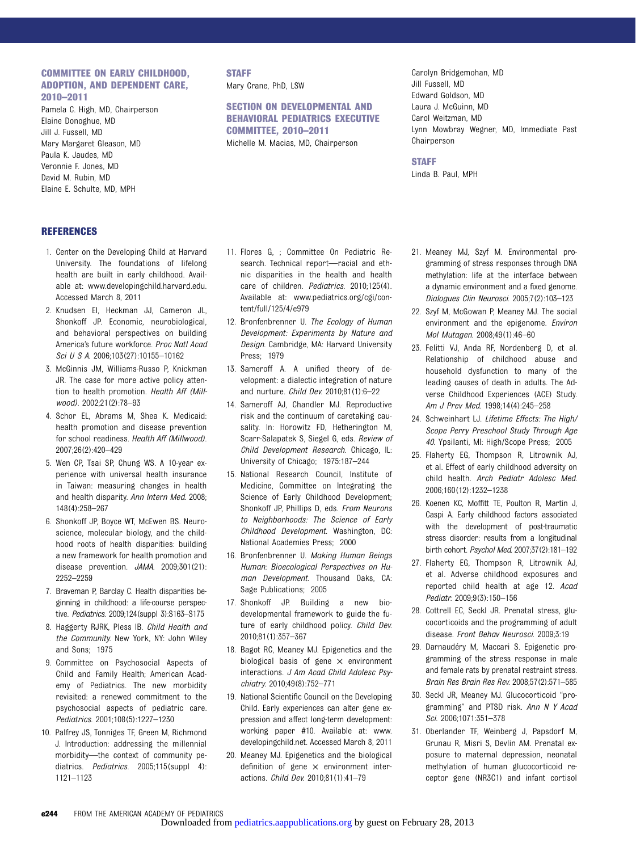#### COMMITTEE ON EARLY CHILDHOOD, ADOPTION, AND DEPENDENT CARE, 2010–2011

Pamela C. High, MD, Chairperson Elaine Donoghue, MD Jill J. Fussell, MD Mary Margaret Gleason, MD Paula K. Jaudes, MD Veronnie F. Jones, MD David M. Rubin, MD Elaine E. Schulte, MD, MPH

#### REFERENCES

- 1. Center on the Developing Child at Harvard University. The foundations of lifelong health are built in early childhood. Available at: www.developingchild.harvard.edu. Accessed March 8, 2011
- 2. Knudsen EI, Heckman JJ, Cameron JL, Shonkoff JP. Economic, neurobiological, and behavioral perspectives on building America's future workforce. Proc Natl Acad Sci U S A. 2006;103(27):10155–10162
- 3. McGinnis JM, Williams-Russo P, Knickman JR. The case for more active policy attention to health promotion. Health Aff (Millwood). 2002;21(2):78–93
- 4. Schor EL, Abrams M, Shea K. Medicaid: health promotion and disease prevention for school readiness. Health Aff (Millwood). 2007;26(2):420–429
- 5. Wen CP, Tsai SP, Chung WS. A 10-year experience with universal health insurance in Taiwan: measuring changes in health and health disparity. Ann Intern Med. 2008; 148(4):258–267
- 6. Shonkoff JP, Boyce WT, McEwen BS. Neuroscience, molecular biology, and the childhood roots of health disparities: building a new framework for health promotion and disease prevention. JAMA. 2009;301(21): 2252–2259
- 7. Braveman P, Barclay C. Health disparities beginning in childhood: a life-course perspective. Pediatrics. 2009;124(suppl 3):S163–S175
- 8. Haggerty RJRK, Pless IB. Child Health and the Community. New York, NY: John Wiley and Sons; 1975
- 9. Committee on Psychosocial Aspects of Child and Family Health; American Academy of Pediatrics. The new morbidity revisited: a renewed commitment to the psychosocial aspects of pediatric care. Pediatrics. 2001;108(5):1227–1230
- 10. Palfrey JS, Tonniges TF, Green M, Richmond J. Introduction: addressing the millennial morbidity—the context of community pediatrics. Pediatrics. 2005;115(suppl 4): 1121–1123

**STAFF** Mary Crane, PhD, LSW

SECTION ON DEVELOPMENTAL AND BEHAVIORAL PEDIATRICS EXECUTIVE COMMITTEE, 2010–2011 Michelle M. Macias, MD, Chairperson

Carolyn Bridgemohan, MD Jill Fussell, MD Edward Goldson, MD Laura J. McGuinn, MD Carol Weitzman, MD Lynn Mowbray Wegner, MD, Immediate Past Chairperson

#### **STAFF**

Linda B. Paul, MPH

- 11. Flores G, ; Committee On Pediatric Research. Technical report—racial and ethnic disparities in the health and health care of children. Pediatrics. 2010;125(4). Available at: www.pediatrics.org/cgi/content/full/125/4/e979
- 12. Bronfenbrenner U. The Ecology of Human Development: Experiments by Nature and Design. Cambridge, MA: Harvard University Press; 1979
- 13. Sameroff A. A unified theory of development: a dialectic integration of nature and nurture. Child Dev. 2010;81(1):6–22
- 14. Sameroff AJ, Chandler MJ. Reproductive risk and the continuum of caretaking causality. In: Horowitz FD, Hetherington M, Scarr-Salapatek S, Siegel G, eds. Review of Child Development Research. Chicago, IL: University of Chicago; 1975:187–244
- 15. National Research Council, Institute of Medicine, Committee on Integrating the Science of Early Childhood Development; Shonkoff JP, Phillips D, eds. From Neurons to Neighborhoods: The Science of Early Childhood Development. Washington, DC: National Academies Press; 2000
- 16. Bronfenbrenner U. Making Human Beings Human: Bioecological Perspectives on Human Development. Thousand Oaks, CA: Sage Publications; 2005
- 17. Shonkoff JP. Building a new biodevelopmental framework to guide the future of early childhood policy. Child Dev. 2010;81(1):357–367
- 18. Bagot RC, Meaney MJ. Epigenetics and the biological basis of gene  $\times$  environment interactions. J Am Acad Child Adolesc Psychiatry. 2010;49(8):752–771
- 19. National Scientific Council on the Developing Child. Early experiences can alter gene expression and affect long-term development: working paper #10. Available at: www. developingchild.net. Accessed March 8, 2011
- 20. Meaney MJ. Epigenetics and the biological definition of gene  $\times$  environment interactions. Child Dev. 2010;81(1):41–79
- 21. Meaney MJ, Szyf M. Environmental programming of stress responses through DNA methylation: life at the interface between a dynamic environment and a fixed genome. Dialogues Clin Neurosci. 2005;7(2):103–123
- 22. Szyf M, McGowan P, Meaney MJ. The social environment and the epigenome. Environ Mol Mutagen. 2008;49(1):46–60
- 23. Felitti VJ, Anda RF, Nordenberg D, et al. Relationship of childhood abuse and household dysfunction to many of the leading causes of death in adults. The Adverse Childhood Experiences (ACE) Study. Am J Prev Med. 1998;14(4):245–258
- 24. Schweinhart LJ. Lifetime Effects: The High/ Scope Perry Preschool Study Through Age 40. Ypsilanti, MI: High/Scope Press; 2005
- 25. Flaherty EG, Thompson R, Litrownik AJ, et al. Effect of early childhood adversity on child health. Arch Pediatr Adolesc Med. 2006;160(12):1232–1238
- 26. Koenen KC, Moffitt TE, Poulton R, Martin J, Caspi A. Early childhood factors associated with the development of post-traumatic stress disorder: results from a longitudinal birth cohort. Psychol Med. 2007;37(2):181–192
- 27. Flaherty EG, Thompson R, Litrownik AJ, et al. Adverse childhood exposures and reported child health at age 12. Acad Pediatr. 2009;9(3):150–156
- 28. Cottrell EC, Seckl JR. Prenatal stress, glucocorticoids and the programming of adult disease. Front Behav Neurosci. 2009;3:19
- 29. Darnaudéry M, Maccari S. Epigenetic programming of the stress response in male and female rats by prenatal restraint stress. Brain Res Brain Res Rev. 2008;57(2):571–585
- 30. Seckl JR, Meaney MJ. Glucocorticoid "programming" and PTSD risk. Ann N Y Acad Sci. 2006;1071:351–378
- 31. Oberlander TF, Weinberg J, Papsdorf M, Grunau R, Misri S, Devlin AM. Prenatal exposure to maternal depression, neonatal methylation of human glucocorticoid receptor gene (NR3C1) and infant cortisol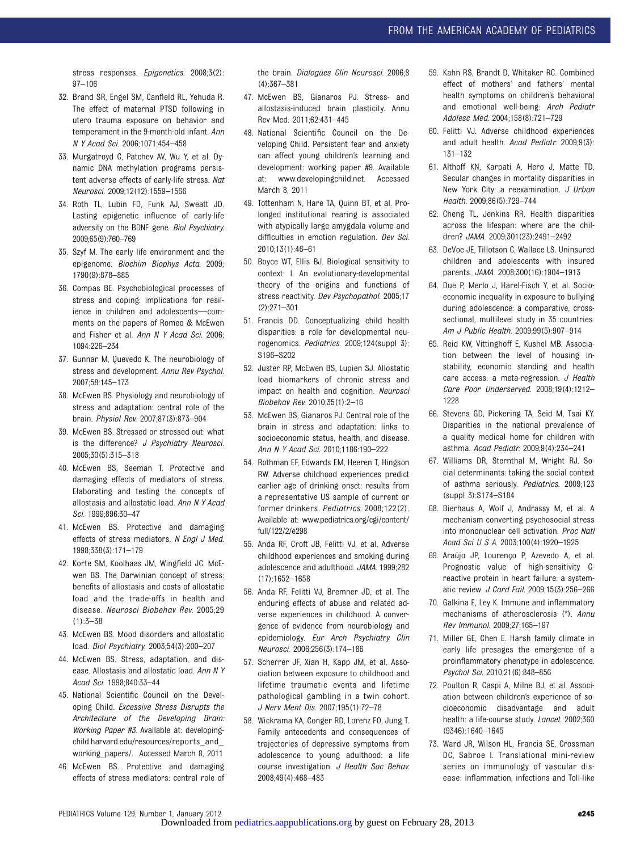stress responses. Epigenetics. 2008;3(2): 97–106

- 32. Brand SR, Engel SM, Canfield RL, Yehuda R. The effect of maternal PTSD following in utero trauma exposure on behavior and temperament in the 9-month-old infant. Ann N Y Acad Sci. 2006;1071:454–458
- 33. Murgatroyd C, Patchev AV, Wu Y, et al. Dynamic DNA methylation programs persistent adverse effects of early-life stress. Nat Neurosci. 2009;12(12):1559–1566
- 34. Roth TL, Lubin FD, Funk AJ, Sweatt JD. Lasting epigenetic influence of early-life adversity on the BDNF gene. Biol Psychiatry. 2009;65(9):760–769
- 35. Szyf M. The early life environment and the epigenome. Biochim Biophys Acta. 2009; 1790(9):878–885
- 36. Compas BE. Psychobiological processes of stress and coping: implications for resilience in children and adolescents—comments on the papers of Romeo & McEwen and Fisher et al. Ann N Y Acad Sci. 2006; 1094:226–234
- 37. Gunnar M, Quevedo K. The neurobiology of stress and development. Annu Rev Psychol. 2007;58:145–173
- 38. McEwen BS. Physiology and neurobiology of stress and adaptation: central role of the brain. Physiol Rev. 2007;87(3):873–904
- 39. McEwen BS. Stressed or stressed out: what is the difference? J Psychiatry Neurosci. 2005;30(5):315–318
- 40. McEwen BS, Seeman T. Protective and damaging effects of mediators of stress. Elaborating and testing the concepts of allostasis and allostatic load. Ann N Y Acad Sci. 1999;896:30–47
- 41. McEwen BS. Protective and damaging effects of stress mediators. N Engl J Med. 1998;338(3):171–179
- 42. Korte SM, Koolhaas JM, Wingfield JC, McEwen BS. The Darwinian concept of stress: benefits of allostasis and costs of allostatic load and the trade-offs in health and disease. Neurosci Biobehav Rev. 2005;29  $(1):3-38$
- 43. McEwen BS. Mood disorders and allostatic load. Biol Psychiatry. 2003;54(3):200–207
- 44. McEwen BS. Stress, adaptation, and disease. Allostasis and allostatic load. Ann N Y Acad Sci. 1998;840:33–44
- 45. National Scientific Council on the Developing Child. Excessive Stress Disrupts the Architecture of the Developing Brain: Working Paper #3. Available at: developingchild.harvard.edu/resources/reports\_and\_ working\_papers/. Accessed March 8, 2011
- 46. McEwen BS. Protective and damaging effects of stress mediators: central role of

the brain. Dialogues Clin Neurosci. 2006;8 (4):367–381

- 47. McEwen BS, Gianaros PJ. Stress- and allostasis-induced brain plasticity. Annu Rev Med. 2011;62:431–445
- 48. National Scientific Council on the Developing Child. Persistent fear and anxiety can affect young children's learning and development: working paper #9. Available at: www.developingchild.net. Accessed March 8, 2011
- 49. Tottenham N, Hare TA, Quinn BT, et al. Prolonged institutional rearing is associated with atypically large amygdala volume and difficulties in emotion regulation. Dev Sci. 2010;13(1):46–61
- 50. Boyce WT, Ellis BJ. Biological sensitivity to context: I. An evolutionary-developmental theory of the origins and functions of stress reactivity. Dev Psychopathol. 2005;17 (2):271–301
- 51. Francis DD. Conceptualizing child health disparities: a role for developmental neurogenomics. Pediatrics. 2009;124(suppl 3): S196–S202
- 52. Juster RP, McEwen BS, Lupien SJ. Allostatic load biomarkers of chronic stress and impact on health and cognition. Neurosci Biobehav Rev. 2010;35(1):2–16
- 53. McEwen BS, Gianaros PJ. Central role of the brain in stress and adaptation: links to socioeconomic status, health, and disease. Ann N Y Acad Sci. 2010;1186:190–222
- 54. Rothman EF, Edwards EM, Heeren T, Hingson RW. Adverse childhood experiences predict earlier age of drinking onset: results from a representative US sample of current or former drinkers. Pediatrics. 2008;122(2). Available at: www.pediatrics.org/cgi/content/ full/122/2/e298
- 55. Anda RF, Croft JB, Felitti VJ, et al. Adverse childhood experiences and smoking during adolescence and adulthood. JAMA. 1999;282 (17):1652–1658
- 56. Anda RF, Felitti VJ, Bremner JD, et al. The enduring effects of abuse and related adverse experiences in childhood. A convergence of evidence from neurobiology and epidemiology. Eur Arch Psychiatry Clin Neurosci. 2006;256(3):174–186
- 57. Scherrer JF, Xian H, Kapp JM, et al. Association between exposure to childhood and lifetime traumatic events and lifetime pathological gambling in a twin cohort. J Nerv Ment Dis. 2007;195(1):72–78
- 58. Wickrama KA, Conger RD, Lorenz FO, Jung T. Family antecedents and consequences of trajectories of depressive symptoms from adolescence to young adulthood: a life course investigation. J Health Soc Behav. 2008;49(4):468–483
- 59. Kahn RS, Brandt D, Whitaker RC. Combined effect of mothers' and fathers' mental health symptoms on children's behavioral and emotional well-being. Arch Pediatr Adolesc Med. 2004;158(8):721–729
- 60. Felitti VJ. Adverse childhood experiences and adult health. Acad Pediatr. 2009;9(3): 131–132
- 61. Althoff KN, Karpati A, Hero J, Matte TD. Secular changes in mortality disparities in New York City: a reexamination. J Urban Health. 2009;86(5):729–744
- 62. Cheng TL, Jenkins RR. Health disparities across the lifespan: where are the children? JAMA. 2009;301(23):2491–2492
- 63. DeVoe JE, Tillotson C, Wallace LS. Uninsured children and adolescents with insured parents. JAMA. 2008;300(16):1904–1913
- 64. Due P, Merlo J, Harel-Fisch Y, et al. Socioeconomic inequality in exposure to bullying during adolescence: a comparative, crosssectional, multilevel study in 35 countries. Am J Public Health. 2009;99(5):907–914
- 65. Reid KW, Vittinghoff E, Kushel MB. Association between the level of housing instability, economic standing and health care access: a meta-regression. J Health Care Poor Underserved. 2008;19(4):1212– 1228
- 66. Stevens GD, Pickering TA, Seid M, Tsai KY. Disparities in the national prevalence of a quality medical home for children with asthma. Acad Pediatr. 2009;9(4):234–241
- 67. Williams DR, Sternthal M, Wright RJ. Social determinants: taking the social context of asthma seriously. Pediatrics. 2009;123 (suppl 3):S174–S184
- 68. Bierhaus A, Wolf J, Andrassy M, et al. A mechanism converting psychosocial stress into mononuclear cell activation. Proc Natl Acad Sci U S A. 2003;100(4):1920–1925
- 69. Araújo JP, Lourenço P, Azevedo A, et al. Prognostic value of high-sensitivity Creactive protein in heart failure: a systematic review. J Card Fail. 2009;15(3):256-266
- 70. Galkina E, Ley K. Immune and inflammatory mechanisms of atherosclerosis (\*). Annu Rev Immunol. 2009;27:165–197
- 71. Miller GE, Chen E. Harsh family climate in early life presages the emergence of a proinflammatory phenotype in adolescence. Psychol Sci. 2010;21(6):848–856
- 72. Poulton R, Caspi A, Milne BJ, et al. Association between children's experience of socioeconomic disadvantage and adult health: a life-course study. Lancet. 2002;360 (9346):1640–1645
- 73. Ward JR, Wilson HL, Francis SE, Crossman DC, Sabroe I. Translational mini-review series on immunology of vascular disease: inflammation, infections and Toll-like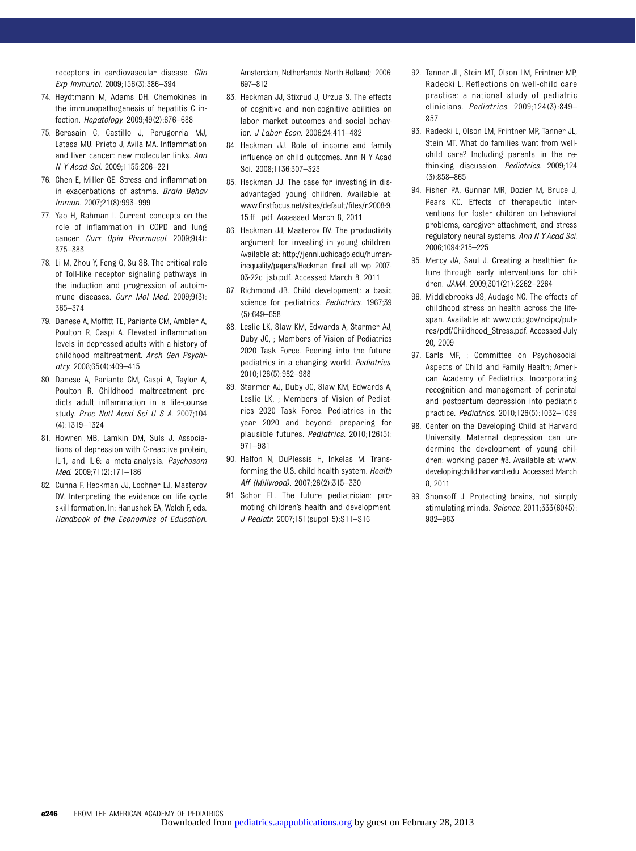receptors in cardiovascular disease. Clin Exp Immunol. 2009;156(3):386–394

- 74. Heydtmann M, Adams DH. Chemokines in the immunopathogenesis of hepatitis C infection. Hepatology. 2009;49(2):676–688
- 75. Berasain C, Castillo J, Perugorria MJ, Latasa MU, Prieto J, Avila MA. Inflammation and liver cancer: new molecular links. Ann N Y Acad Sci. 2009;1155:206–221
- 76. Chen E, Miller GE. Stress and inflammation in exacerbations of asthma. Brain Behav Immun. 2007;21(8):993–999
- 77. Yao H, Rahman I. Current concepts on the role of inflammation in COPD and lung cancer. Curr Opin Pharmacol. 2009;9(4): 375–383
- 78. Li M, Zhou Y, Feng G, Su SB. The critical role of Toll-like receptor signaling pathways in the induction and progression of autoimmune diseases. Curr Mol Med. 2009;9(3): 365–374
- 79. Danese A, Moffitt TE, Pariante CM, Ambler A, Poulton R, Caspi A. Elevated inflammation levels in depressed adults with a history of childhood maltreatment. Arch Gen Psychiatry. 2008;65(4):409–415
- 80. Danese A, Pariante CM, Caspi A, Taylor A, Poulton R. Childhood maltreatment predicts adult inflammation in a life-course study. Proc Natl Acad Sci U S A. 2007;104 (4):1319–1324
- 81. Howren MB, Lamkin DM, Suls J. Associations of depression with C-reactive protein, IL-1, and IL-6: a meta-analysis. Psychosom Med. 2009;71(2):171–186
- 82. Cuhna F, Heckman JJ, Lochner LJ, Masterov DV. Interpreting the evidence on life cycle skill formation. In: Hanushek EA, Welch F, eds. Handbook of the Economics of Education.

Amsterdam, Netherlands: North-Holland; 2006: 697–812

- 83. Heckman JJ, Stixrud J, Urzua S. The effects of cognitive and non-cognitive abilities on labor market outcomes and social behavior. J Labor Econ. 2006;24:411–482
- 84. Heckman JJ. Role of income and family influence on child outcomes. Ann N Y Acad Sci. 2008;1136:307–323
- 85. Heckman JJ. The case for investing in disadvantaged young children. Available at: www.firstfocus.net/sites/default/files/r.2008-9. 15.ff\_.pdf. Accessed March 8, 2011
- 86. Heckman JJ, Masterov DV. The productivity argument for investing in young children. Available at: http://jenni.uchicago.edu/humaninequality/papers/Heckman\_final\_all\_wp\_2007- 03-22c\_jsb.pdf. Accessed March 8, 2011
- 87. Richmond JB. Child development: a basic science for pediatrics. Pediatrics. 1967;39 (5):649–658
- 88. Leslie LK, Slaw KM, Edwards A, Starmer AJ, Duby JC, ; Members of Vision of Pediatrics 2020 Task Force. Peering into the future: pediatrics in a changing world. Pediatrics. 2010;126(5):982–988
- 89. Starmer AJ, Duby JC, Slaw KM, Edwards A, Leslie LK, ; Members of Vision of Pediatrics 2020 Task Force. Pediatrics in the year 2020 and beyond: preparing for plausible futures. Pediatrics. 2010;126(5): 971–981
- 90. Halfon N, DuPlessis H, Inkelas M. Transforming the U.S. child health system. Health Aff (Millwood). 2007;26(2):315–330
- 91. Schor EL. The future pediatrician: promoting children's health and development. J Pediatr. 2007;151(suppl 5):S11–S16
- 92. Tanner JL, Stein MT, Olson LM, Frintner MP, Radecki L. Reflections on well-child care practice: a national study of pediatric clinicians. Pediatrics. 2009;124(3):849– 857
- 93. Radecki L, Olson LM, Frintner MP, Tanner JL, Stein MT. What do families want from wellchild care? Including parents in the rethinking discussion. Pediatrics. 2009;124 (3):858–865
- 94. Fisher PA, Gunnar MR, Dozier M, Bruce J, Pears KC. Effects of therapeutic interventions for foster children on behavioral problems, caregiver attachment, and stress regulatory neural systems. Ann N Y Acad Sci. 2006;1094:215–225
- 95. Mercy JA, Saul J. Creating a healthier future through early interventions for children. JAMA. 2009;301(21):2262–2264
- 96. Middlebrooks JS, Audage NC. The effects of childhood stress on health across the lifespan. Available at: www.cdc.gov/ncipc/pubres/pdf/Childhood\_Stress.pdf. Accessed July 20, 2009
- 97. Earls MF, ; Committee on Psychosocial Aspects of Child and Family Health; American Academy of Pediatrics. Incorporating recognition and management of perinatal and postpartum depression into pediatric practice. Pediatrics. 2010;126(5):1032–1039
- 98. Center on the Developing Child at Harvard University. Maternal depression can undermine the development of young children: working paper #8. Available at: www. developingchild.harvard.edu. Accessed March 8, 2011
- 99. Shonkoff J. Protecting brains, not simply stimulating minds. Science. 2011;333(6045): 982–983